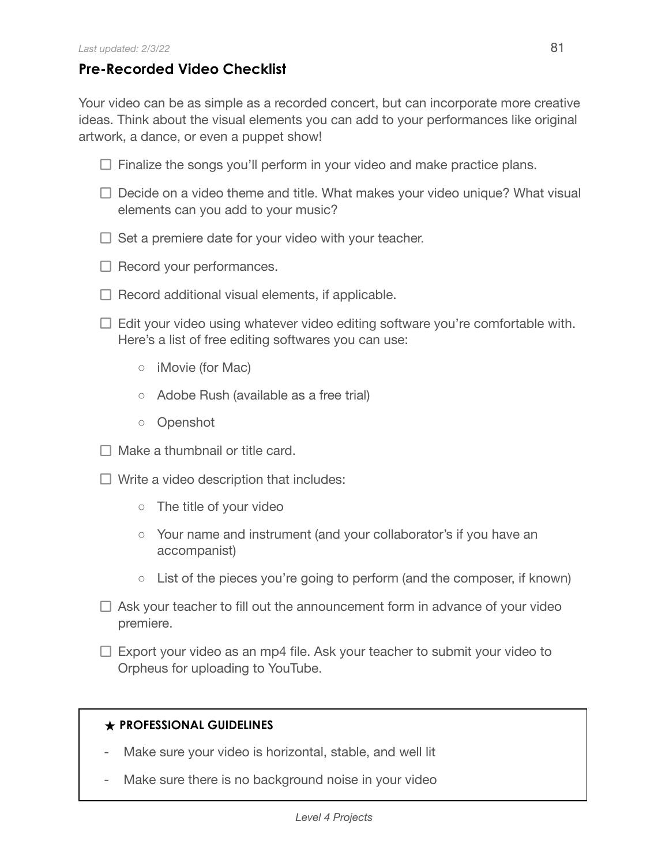## **Pre-Recorded Video Checklist**

Your video can be as simple as a recorded concert, but can incorporate more creative ideas. Think about the visual elements you can add to your performances like original artwork, a dance, or even a puppet show!

- $\Box$  Finalize the songs you'll perform in your video and make practice plans.
- $\Box$  Decide on a video theme and title. What makes your video unique? What visual elements can you add to your music?
- $\Box$  Set a premiere date for your video with your teacher.
- $\Box$  Record your performances.
- $\Box$  Record additional visual elements, if applicable.
- $\Box$  Edit your video using whatever video editing software you're comfortable with. Here's a list of free editing softwares you can use:
	- iMovie (for Mac)
	- Adobe Rush (available as a free trial)
	- Openshot
- $\Box$  Make a thumbnail or title card.
- $\Box$  Write a video description that includes:
	- The title of your video
	- Your name and instrument (and your collaborator's if you have an accompanist)
	- $\circ$  List of the pieces you're going to perform (and the composer, if known)
- $\Box$  Ask your teacher to fill out the announcement form in advance of your video premiere.
- $\Box$  Export your video as an mp4 file. Ask your teacher to submit your video to Orpheus for uploading to YouTube.

## **★ PROFESSIONAL GUIDELINES**

- Make sure your video is horizontal, stable, and well lit
- Make sure there is no background noise in your video